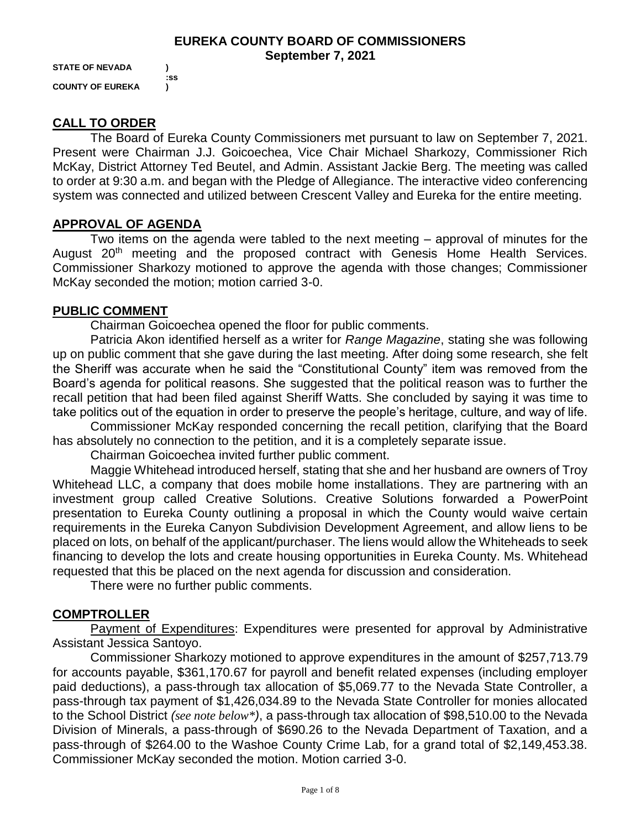#### **EUREKA COUNTY BOARD OF COMMISSIONERS September 7, 2021**

**STATE OF NEVADA ) COUNTY OF EUREKA )**

**:ss**

# **CALL TO ORDER**

The Board of Eureka County Commissioners met pursuant to law on September 7, 2021. Present were Chairman J.J. Goicoechea, Vice Chair Michael Sharkozy, Commissioner Rich McKay, District Attorney Ted Beutel, and Admin. Assistant Jackie Berg. The meeting was called to order at 9:30 a.m. and began with the Pledge of Allegiance. The interactive video conferencing system was connected and utilized between Crescent Valley and Eureka for the entire meeting.

# **APPROVAL OF AGENDA**

Two items on the agenda were tabled to the next meeting – approval of minutes for the August 20<sup>th</sup> meeting and the proposed contract with Genesis Home Health Services. Commissioner Sharkozy motioned to approve the agenda with those changes; Commissioner McKay seconded the motion; motion carried 3-0.

### **PUBLIC COMMENT**

Chairman Goicoechea opened the floor for public comments.

Patricia Akon identified herself as a writer for *Range Magazine*, stating she was following up on public comment that she gave during the last meeting. After doing some research, she felt the Sheriff was accurate when he said the "Constitutional County" item was removed from the Board's agenda for political reasons. She suggested that the political reason was to further the recall petition that had been filed against Sheriff Watts. She concluded by saying it was time to take politics out of the equation in order to preserve the people's heritage, culture, and way of life.

Commissioner McKay responded concerning the recall petition, clarifying that the Board has absolutely no connection to the petition, and it is a completely separate issue.

Chairman Goicoechea invited further public comment.

Maggie Whitehead introduced herself, stating that she and her husband are owners of Troy Whitehead LLC, a company that does mobile home installations. They are partnering with an investment group called Creative Solutions. Creative Solutions forwarded a PowerPoint presentation to Eureka County outlining a proposal in which the County would waive certain requirements in the Eureka Canyon Subdivision Development Agreement, and allow liens to be placed on lots, on behalf of the applicant/purchaser. The liens would allow the Whiteheads to seek financing to develop the lots and create housing opportunities in Eureka County. Ms. Whitehead requested that this be placed on the next agenda for discussion and consideration.

There were no further public comments.

# **COMPTROLLER**

Payment of Expenditures: Expenditures were presented for approval by Administrative Assistant Jessica Santoyo.

Commissioner Sharkozy motioned to approve expenditures in the amount of \$257,713.79 for accounts payable, \$361,170.67 for payroll and benefit related expenses (including employer paid deductions), a pass-through tax allocation of \$5,069.77 to the Nevada State Controller, a pass-through tax payment of \$1,426,034.89 to the Nevada State Controller for monies allocated to the School District *(see note below\*)*, a pass-through tax allocation of \$98,510.00 to the Nevada Division of Minerals, a pass-through of \$690.26 to the Nevada Department of Taxation, and a pass-through of \$264.00 to the Washoe County Crime Lab, for a grand total of \$2,149,453.38. Commissioner McKay seconded the motion. Motion carried 3-0.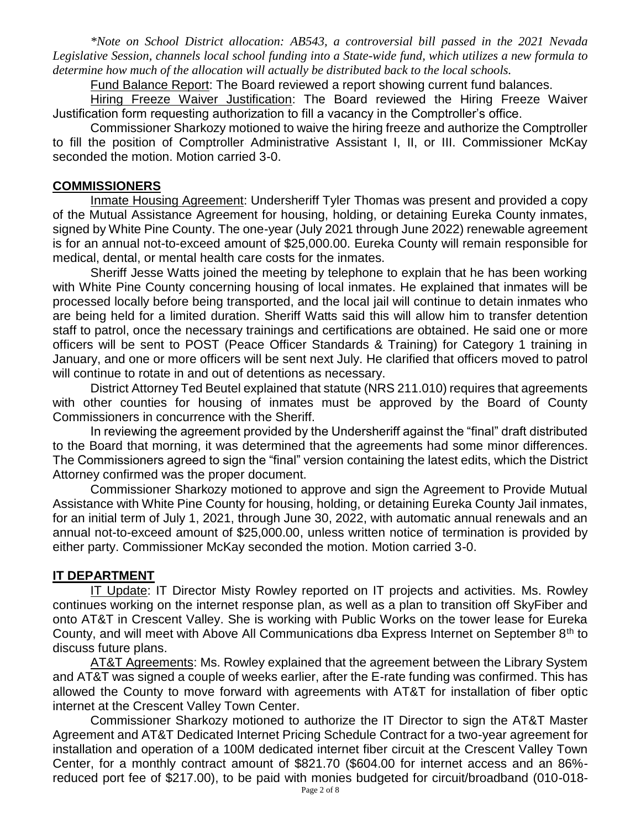*\*Note on School District allocation: AB543, a controversial bill passed in the 2021 Nevada Legislative Session, channels local school funding into a State-wide fund, which utilizes a new formula to determine how much of the allocation will actually be distributed back to the local schools.* 

Fund Balance Report: The Board reviewed a report showing current fund balances.

Hiring Freeze Waiver Justification: The Board reviewed the Hiring Freeze Waiver Justification form requesting authorization to fill a vacancy in the Comptroller's office.

Commissioner Sharkozy motioned to waive the hiring freeze and authorize the Comptroller to fill the position of Comptroller Administrative Assistant I, II, or III. Commissioner McKay seconded the motion. Motion carried 3-0.

#### **COMMISSIONERS**

Inmate Housing Agreement: Undersheriff Tyler Thomas was present and provided a copy of the Mutual Assistance Agreement for housing, holding, or detaining Eureka County inmates, signed by White Pine County. The one-year (July 2021 through June 2022) renewable agreement is for an annual not-to-exceed amount of \$25,000.00. Eureka County will remain responsible for medical, dental, or mental health care costs for the inmates.

Sheriff Jesse Watts joined the meeting by telephone to explain that he has been working with White Pine County concerning housing of local inmates. He explained that inmates will be processed locally before being transported, and the local jail will continue to detain inmates who are being held for a limited duration. Sheriff Watts said this will allow him to transfer detention staff to patrol, once the necessary trainings and certifications are obtained. He said one or more officers will be sent to POST (Peace Officer Standards & Training) for Category 1 training in January, and one or more officers will be sent next July. He clarified that officers moved to patrol will continue to rotate in and out of detentions as necessary.

District Attorney Ted Beutel explained that statute (NRS 211.010) requires that agreements with other counties for housing of inmates must be approved by the Board of County Commissioners in concurrence with the Sheriff.

In reviewing the agreement provided by the Undersheriff against the "final" draft distributed to the Board that morning, it was determined that the agreements had some minor differences. The Commissioners agreed to sign the "final" version containing the latest edits, which the District Attorney confirmed was the proper document.

Commissioner Sharkozy motioned to approve and sign the Agreement to Provide Mutual Assistance with White Pine County for housing, holding, or detaining Eureka County Jail inmates, for an initial term of July 1, 2021, through June 30, 2022, with automatic annual renewals and an annual not-to-exceed amount of \$25,000.00, unless written notice of termination is provided by either party. Commissioner McKay seconded the motion. Motion carried 3-0.

#### **IT DEPARTMENT**

IT Update: IT Director Misty Rowley reported on IT projects and activities. Ms. Rowley continues working on the internet response plan, as well as a plan to transition off SkyFiber and onto AT&T in Crescent Valley. She is working with Public Works on the tower lease for Eureka County, and will meet with Above All Communications dba Express Internet on September  $8<sup>th</sup>$  to discuss future plans.

AT&T Agreements: Ms. Rowley explained that the agreement between the Library System and AT&T was signed a couple of weeks earlier, after the E-rate funding was confirmed. This has allowed the County to move forward with agreements with AT&T for installation of fiber optic internet at the Crescent Valley Town Center.

Commissioner Sharkozy motioned to authorize the IT Director to sign the AT&T Master Agreement and AT&T Dedicated Internet Pricing Schedule Contract for a two-year agreement for installation and operation of a 100M dedicated internet fiber circuit at the Crescent Valley Town Center, for a monthly contract amount of \$821.70 (\$604.00 for internet access and an 86% reduced port fee of \$217.00), to be paid with monies budgeted for circuit/broadband (010-018-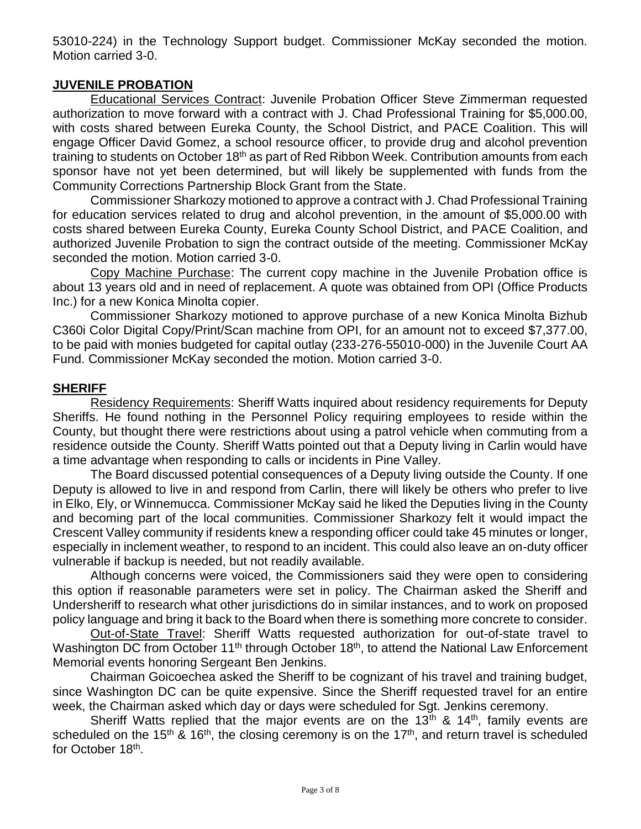53010-224) in the Technology Support budget. Commissioner McKay seconded the motion. Motion carried 3-0.

## **JUVENILE PROBATION**

Educational Services Contract: Juvenile Probation Officer Steve Zimmerman requested authorization to move forward with a contract with J. Chad Professional Training for \$5,000.00, with costs shared between Eureka County, the School District, and PACE Coalition. This will engage Officer David Gomez, a school resource officer, to provide drug and alcohol prevention training to students on October 18<sup>th</sup> as part of Red Ribbon Week. Contribution amounts from each sponsor have not yet been determined, but will likely be supplemented with funds from the Community Corrections Partnership Block Grant from the State.

Commissioner Sharkozy motioned to approve a contract with J. Chad Professional Training for education services related to drug and alcohol prevention, in the amount of \$5,000.00 with costs shared between Eureka County, Eureka County School District, and PACE Coalition, and authorized Juvenile Probation to sign the contract outside of the meeting. Commissioner McKay seconded the motion. Motion carried 3-0.

Copy Machine Purchase: The current copy machine in the Juvenile Probation office is about 13 years old and in need of replacement. A quote was obtained from OPI (Office Products Inc.) for a new Konica Minolta copier.

Commissioner Sharkozy motioned to approve purchase of a new Konica Minolta Bizhub C360i Color Digital Copy/Print/Scan machine from OPI, for an amount not to exceed \$7,377.00, to be paid with monies budgeted for capital outlay (233-276-55010-000) in the Juvenile Court AA Fund. Commissioner McKay seconded the motion. Motion carried 3-0.

# **SHERIFF**

Residency Requirements: Sheriff Watts inquired about residency requirements for Deputy Sheriffs. He found nothing in the Personnel Policy requiring employees to reside within the County, but thought there were restrictions about using a patrol vehicle when commuting from a residence outside the County. Sheriff Watts pointed out that a Deputy living in Carlin would have a time advantage when responding to calls or incidents in Pine Valley.

The Board discussed potential consequences of a Deputy living outside the County. If one Deputy is allowed to live in and respond from Carlin, there will likely be others who prefer to live in Elko, Ely, or Winnemucca. Commissioner McKay said he liked the Deputies living in the County and becoming part of the local communities. Commissioner Sharkozy felt it would impact the Crescent Valley community if residents knew a responding officer could take 45 minutes or longer, especially in inclement weather, to respond to an incident. This could also leave an on-duty officer vulnerable if backup is needed, but not readily available.

Although concerns were voiced, the Commissioners said they were open to considering this option if reasonable parameters were set in policy. The Chairman asked the Sheriff and Undersheriff to research what other jurisdictions do in similar instances, and to work on proposed policy language and bring it back to the Board when there is something more concrete to consider.

Out-of-State Travel: Sheriff Watts requested authorization for out-of-state travel to Washington DC from October 11<sup>th</sup> through October 18<sup>th</sup>, to attend the National Law Enforcement Memorial events honoring Sergeant Ben Jenkins.

Chairman Goicoechea asked the Sheriff to be cognizant of his travel and training budget, since Washington DC can be quite expensive. Since the Sheriff requested travel for an entire week, the Chairman asked which day or days were scheduled for Sgt. Jenkins ceremony.

Sheriff Watts replied that the major events are on the  $13<sup>th</sup>$  &  $14<sup>th</sup>$ , family events are scheduled on the 15<sup>th</sup> & 16<sup>th</sup>, the closing ceremony is on the 17<sup>th</sup>, and return travel is scheduled for October 18<sup>th</sup>.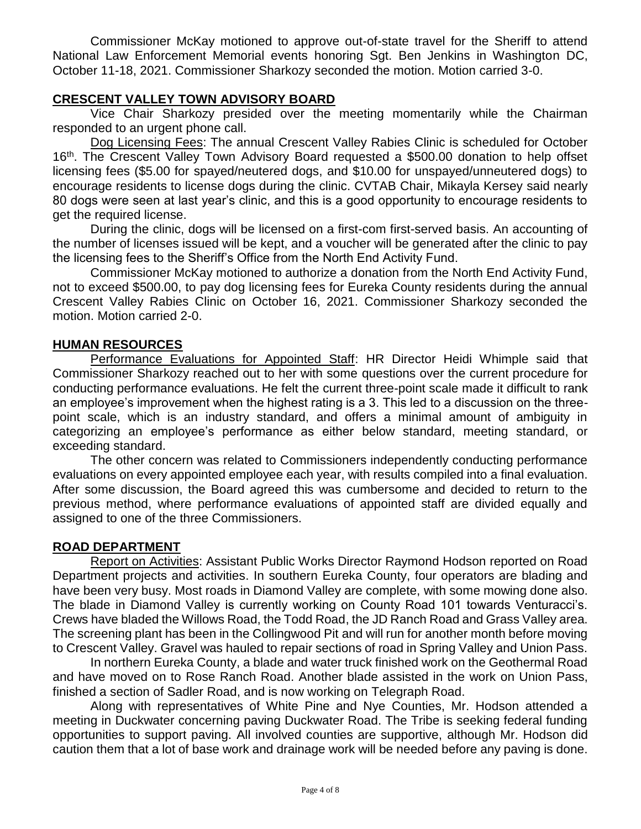Commissioner McKay motioned to approve out-of-state travel for the Sheriff to attend National Law Enforcement Memorial events honoring Sgt. Ben Jenkins in Washington DC, October 11-18, 2021. Commissioner Sharkozy seconded the motion. Motion carried 3-0.

# **CRESCENT VALLEY TOWN ADVISORY BOARD**

Vice Chair Sharkozy presided over the meeting momentarily while the Chairman responded to an urgent phone call.

Dog Licensing Fees: The annual Crescent Valley Rabies Clinic is scheduled for October 16<sup>th</sup>. The Crescent Valley Town Advisory Board requested a \$500.00 donation to help offset licensing fees (\$5.00 for spayed/neutered dogs, and \$10.00 for unspayed/unneutered dogs) to encourage residents to license dogs during the clinic. CVTAB Chair, Mikayla Kersey said nearly 80 dogs were seen at last year's clinic, and this is a good opportunity to encourage residents to get the required license.

During the clinic, dogs will be licensed on a first-com first-served basis. An accounting of the number of licenses issued will be kept, and a voucher will be generated after the clinic to pay the licensing fees to the Sheriff's Office from the North End Activity Fund.

Commissioner McKay motioned to authorize a donation from the North End Activity Fund, not to exceed \$500.00, to pay dog licensing fees for Eureka County residents during the annual Crescent Valley Rabies Clinic on October 16, 2021. Commissioner Sharkozy seconded the motion. Motion carried 2-0.

# **HUMAN RESOURCES**

Performance Evaluations for Appointed Staff: HR Director Heidi Whimple said that Commissioner Sharkozy reached out to her with some questions over the current procedure for conducting performance evaluations. He felt the current three-point scale made it difficult to rank an employee's improvement when the highest rating is a 3. This led to a discussion on the threepoint scale, which is an industry standard, and offers a minimal amount of ambiguity in categorizing an employee's performance as either below standard, meeting standard, or exceeding standard.

The other concern was related to Commissioners independently conducting performance evaluations on every appointed employee each year, with results compiled into a final evaluation. After some discussion, the Board agreed this was cumbersome and decided to return to the previous method, where performance evaluations of appointed staff are divided equally and assigned to one of the three Commissioners.

# **ROAD DEPARTMENT**

Report on Activities: Assistant Public Works Director Raymond Hodson reported on Road Department projects and activities. In southern Eureka County, four operators are blading and have been very busy. Most roads in Diamond Valley are complete, with some mowing done also. The blade in Diamond Valley is currently working on County Road 101 towards Venturacci's. Crews have bladed the Willows Road, the Todd Road, the JD Ranch Road and Grass Valley area. The screening plant has been in the Collingwood Pit and will run for another month before moving to Crescent Valley. Gravel was hauled to repair sections of road in Spring Valley and Union Pass.

In northern Eureka County, a blade and water truck finished work on the Geothermal Road and have moved on to Rose Ranch Road. Another blade assisted in the work on Union Pass, finished a section of Sadler Road, and is now working on Telegraph Road.

Along with representatives of White Pine and Nye Counties, Mr. Hodson attended a meeting in Duckwater concerning paving Duckwater Road. The Tribe is seeking federal funding opportunities to support paving. All involved counties are supportive, although Mr. Hodson did caution them that a lot of base work and drainage work will be needed before any paving is done.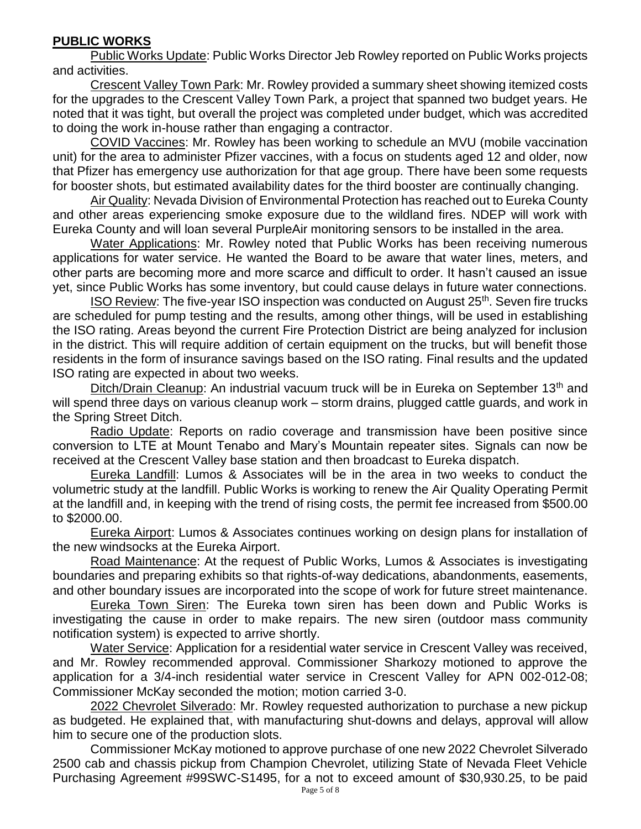# **PUBLIC WORKS**

Public Works Update: Public Works Director Jeb Rowley reported on Public Works projects and activities.

Crescent Valley Town Park: Mr. Rowley provided a summary sheet showing itemized costs for the upgrades to the Crescent Valley Town Park, a project that spanned two budget years. He noted that it was tight, but overall the project was completed under budget, which was accredited to doing the work in-house rather than engaging a contractor.

COVID Vaccines: Mr. Rowley has been working to schedule an MVU (mobile vaccination unit) for the area to administer Pfizer vaccines, with a focus on students aged 12 and older, now that Pfizer has emergency use authorization for that age group. There have been some requests for booster shots, but estimated availability dates for the third booster are continually changing.

Air Quality: Nevada Division of Environmental Protection has reached out to Eureka County and other areas experiencing smoke exposure due to the wildland fires. NDEP will work with Eureka County and will loan several PurpleAir monitoring sensors to be installed in the area.

Water Applications: Mr. Rowley noted that Public Works has been receiving numerous applications for water service. He wanted the Board to be aware that water lines, meters, and other parts are becoming more and more scarce and difficult to order. It hasn't caused an issue yet, since Public Works has some inventory, but could cause delays in future water connections.

ISO Review: The five-year ISO inspection was conducted on August 25<sup>th</sup>. Seven fire trucks are scheduled for pump testing and the results, among other things, will be used in establishing the ISO rating. Areas beyond the current Fire Protection District are being analyzed for inclusion in the district. This will require addition of certain equipment on the trucks, but will benefit those residents in the form of insurance savings based on the ISO rating. Final results and the updated ISO rating are expected in about two weeks.

Ditch/Drain Cleanup: An industrial vacuum truck will be in Eureka on September 13<sup>th</sup> and will spend three days on various cleanup work – storm drains, plugged cattle guards, and work in the Spring Street Ditch.

Radio Update: Reports on radio coverage and transmission have been positive since conversion to LTE at Mount Tenabo and Mary's Mountain repeater sites. Signals can now be received at the Crescent Valley base station and then broadcast to Eureka dispatch.

Eureka Landfill: Lumos & Associates will be in the area in two weeks to conduct the volumetric study at the landfill. Public Works is working to renew the Air Quality Operating Permit at the landfill and, in keeping with the trend of rising costs, the permit fee increased from \$500.00 to \$2000.00.

Eureka Airport: Lumos & Associates continues working on design plans for installation of the new windsocks at the Eureka Airport.

Road Maintenance: At the request of Public Works, Lumos & Associates is investigating boundaries and preparing exhibits so that rights-of-way dedications, abandonments, easements, and other boundary issues are incorporated into the scope of work for future street maintenance.

Eureka Town Siren: The Eureka town siren has been down and Public Works is investigating the cause in order to make repairs. The new siren (outdoor mass community notification system) is expected to arrive shortly.

Water Service: Application for a residential water service in Crescent Valley was received, and Mr. Rowley recommended approval. Commissioner Sharkozy motioned to approve the application for a 3/4-inch residential water service in Crescent Valley for APN 002-012-08; Commissioner McKay seconded the motion; motion carried 3-0.

2022 Chevrolet Silverado: Mr. Rowley requested authorization to purchase a new pickup as budgeted. He explained that, with manufacturing shut-downs and delays, approval will allow him to secure one of the production slots.

Commissioner McKay motioned to approve purchase of one new 2022 Chevrolet Silverado 2500 cab and chassis pickup from Champion Chevrolet, utilizing State of Nevada Fleet Vehicle Purchasing Agreement #99SWC-S1495, for a not to exceed amount of \$30,930.25, to be paid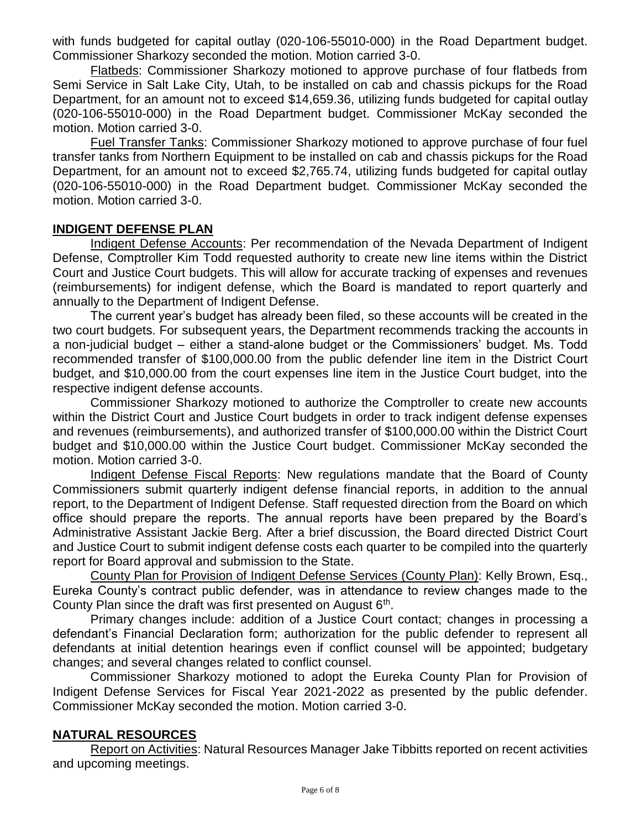with funds budgeted for capital outlay (020-106-55010-000) in the Road Department budget. Commissioner Sharkozy seconded the motion. Motion carried 3-0.

Flatbeds: Commissioner Sharkozy motioned to approve purchase of four flatbeds from Semi Service in Salt Lake City, Utah, to be installed on cab and chassis pickups for the Road Department, for an amount not to exceed \$14,659.36, utilizing funds budgeted for capital outlay (020-106-55010-000) in the Road Department budget. Commissioner McKay seconded the motion. Motion carried 3-0.

Fuel Transfer Tanks: Commissioner Sharkozy motioned to approve purchase of four fuel transfer tanks from Northern Equipment to be installed on cab and chassis pickups for the Road Department, for an amount not to exceed \$2,765.74, utilizing funds budgeted for capital outlay (020-106-55010-000) in the Road Department budget. Commissioner McKay seconded the motion. Motion carried 3-0.

### **INDIGENT DEFENSE PLAN**

Indigent Defense Accounts: Per recommendation of the Nevada Department of Indigent Defense, Comptroller Kim Todd requested authority to create new line items within the District Court and Justice Court budgets. This will allow for accurate tracking of expenses and revenues (reimbursements) for indigent defense, which the Board is mandated to report quarterly and annually to the Department of Indigent Defense.

The current year's budget has already been filed, so these accounts will be created in the two court budgets. For subsequent years, the Department recommends tracking the accounts in a non-judicial budget – either a stand-alone budget or the Commissioners' budget. Ms. Todd recommended transfer of \$100,000.00 from the public defender line item in the District Court budget, and \$10,000.00 from the court expenses line item in the Justice Court budget, into the respective indigent defense accounts.

Commissioner Sharkozy motioned to authorize the Comptroller to create new accounts within the District Court and Justice Court budgets in order to track indigent defense expenses and revenues (reimbursements), and authorized transfer of \$100,000.00 within the District Court budget and \$10,000.00 within the Justice Court budget. Commissioner McKay seconded the motion. Motion carried 3-0.

Indigent Defense Fiscal Reports: New regulations mandate that the Board of County Commissioners submit quarterly indigent defense financial reports, in addition to the annual report, to the Department of Indigent Defense. Staff requested direction from the Board on which office should prepare the reports. The annual reports have been prepared by the Board's Administrative Assistant Jackie Berg. After a brief discussion, the Board directed District Court and Justice Court to submit indigent defense costs each quarter to be compiled into the quarterly report for Board approval and submission to the State.

County Plan for Provision of Indigent Defense Services (County Plan): Kelly Brown, Esq., Eureka County's contract public defender, was in attendance to review changes made to the County Plan since the draft was first presented on August  $6<sup>th</sup>$ .

Primary changes include: addition of a Justice Court contact; changes in processing a defendant's Financial Declaration form; authorization for the public defender to represent all defendants at initial detention hearings even if conflict counsel will be appointed; budgetary changes; and several changes related to conflict counsel.

Commissioner Sharkozy motioned to adopt the Eureka County Plan for Provision of Indigent Defense Services for Fiscal Year 2021-2022 as presented by the public defender. Commissioner McKay seconded the motion. Motion carried 3-0.

# **NATURAL RESOURCES**

Report on Activities: Natural Resources Manager Jake Tibbitts reported on recent activities and upcoming meetings.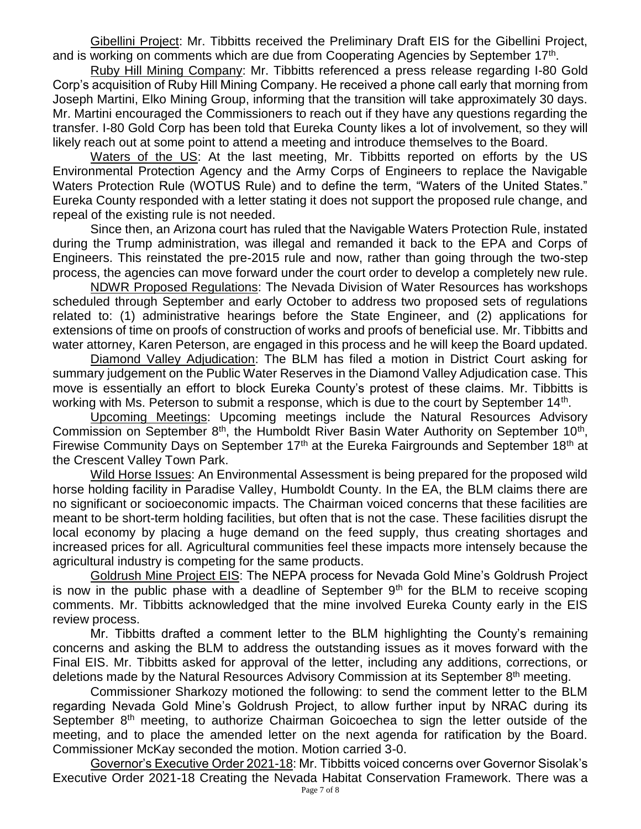Gibellini Project: Mr. Tibbitts received the Preliminary Draft EIS for the Gibellini Project, and is working on comments which are due from Cooperating Agencies by September 17<sup>th</sup>.

Ruby Hill Mining Company: Mr. Tibbitts referenced a press release regarding I-80 Gold Corp's acquisition of Ruby Hill Mining Company. He received a phone call early that morning from Joseph Martini, Elko Mining Group, informing that the transition will take approximately 30 days. Mr. Martini encouraged the Commissioners to reach out if they have any questions regarding the transfer. I-80 Gold Corp has been told that Eureka County likes a lot of involvement, so they will likely reach out at some point to attend a meeting and introduce themselves to the Board.

Waters of the US: At the last meeting, Mr. Tibbitts reported on efforts by the US Environmental Protection Agency and the Army Corps of Engineers to replace the Navigable Waters Protection Rule (WOTUS Rule) and to define the term, "Waters of the United States." Eureka County responded with a letter stating it does not support the proposed rule change, and repeal of the existing rule is not needed.

Since then, an Arizona court has ruled that the Navigable Waters Protection Rule, instated during the Trump administration, was illegal and remanded it back to the EPA and Corps of Engineers. This reinstated the pre-2015 rule and now, rather than going through the two-step process, the agencies can move forward under the court order to develop a completely new rule.

NDWR Proposed Regulations: The Nevada Division of Water Resources has workshops scheduled through September and early October to address two proposed sets of regulations related to: (1) administrative hearings before the State Engineer, and (2) applications for extensions of time on proofs of construction of works and proofs of beneficial use. Mr. Tibbitts and water attorney, Karen Peterson, are engaged in this process and he will keep the Board updated.

Diamond Valley Adjudication: The BLM has filed a motion in District Court asking for summary judgement on the Public Water Reserves in the Diamond Valley Adjudication case. This move is essentially an effort to block Eureka County's protest of these claims. Mr. Tibbitts is working with Ms. Peterson to submit a response, which is due to the court by September  $14<sup>th</sup>$ .

Upcoming Meetings: Upcoming meetings include the Natural Resources Advisory Commission on September 8<sup>th</sup>, the Humboldt River Basin Water Authority on September 10<sup>th</sup>, Firewise Community Days on September 17<sup>th</sup> at the Eureka Fairgrounds and September 18<sup>th</sup> at the Crescent Valley Town Park.

Wild Horse Issues: An Environmental Assessment is being prepared for the proposed wild horse holding facility in Paradise Valley, Humboldt County. In the EA, the BLM claims there are no significant or socioeconomic impacts. The Chairman voiced concerns that these facilities are meant to be short-term holding facilities, but often that is not the case. These facilities disrupt the local economy by placing a huge demand on the feed supply, thus creating shortages and increased prices for all. Agricultural communities feel these impacts more intensely because the agricultural industry is competing for the same products.

Goldrush Mine Project EIS: The NEPA process for Nevada Gold Mine's Goldrush Project is now in the public phase with a deadline of September  $9<sup>th</sup>$  for the BLM to receive scoping comments. Mr. Tibbitts acknowledged that the mine involved Eureka County early in the EIS review process.

Mr. Tibbitts drafted a comment letter to the BLM highlighting the County's remaining concerns and asking the BLM to address the outstanding issues as it moves forward with the Final EIS. Mr. Tibbitts asked for approval of the letter, including any additions, corrections, or deletions made by the Natural Resources Advisory Commission at its September  $8<sup>th</sup>$  meeting.

Commissioner Sharkozy motioned the following: to send the comment letter to the BLM regarding Nevada Gold Mine's Goldrush Project, to allow further input by NRAC during its September 8<sup>th</sup> meeting, to authorize Chairman Goicoechea to sign the letter outside of the meeting, and to place the amended letter on the next agenda for ratification by the Board. Commissioner McKay seconded the motion. Motion carried 3-0.

Governor's Executive Order 2021-18: Mr. Tibbitts voiced concerns over Governor Sisolak's Executive Order 2021-18 Creating the Nevada Habitat Conservation Framework. There was a